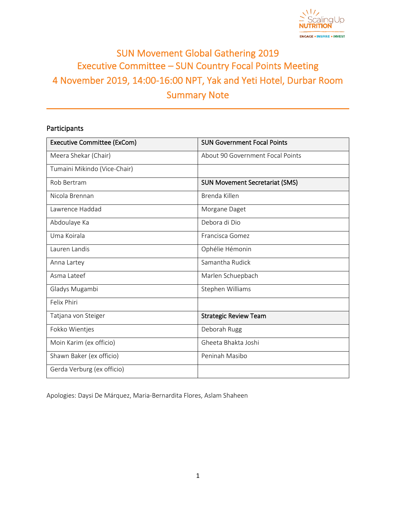

# SUN Movement Global Gathering 2019 Executive Committee – SUN Country Focal Points Meeting 4 November 2019, 14:00-16:00 NPT, Yak and Yeti Hotel, Durbar Room Summary Note

# Participants

| <b>Executive Committee (ExCom)</b> | <b>SUN Government Focal Points</b>    |  |
|------------------------------------|---------------------------------------|--|
| Meera Shekar (Chair)               | About 90 Government Focal Points      |  |
| Tumaini Mikindo (Vice-Chair)       |                                       |  |
| Rob Bertram                        | <b>SUN Movement Secretariat (SMS)</b> |  |
| Nicola Brennan                     | Brenda Killen                         |  |
| Lawrence Haddad                    | Morgane Daget                         |  |
| Abdoulaye Ka                       | Debora di Dio                         |  |
| Uma Koirala                        | Francisca Gomez                       |  |
| Lauren Landis                      | Ophélie Hémonin                       |  |
| Anna Lartey                        | Samantha Rudick                       |  |
| Asma Lateef                        | Marlen Schuepbach                     |  |
| Gladys Mugambi                     | Stephen Williams                      |  |
| Felix Phiri                        |                                       |  |
| Tatjana von Steiger                | <b>Strategic Review Team</b>          |  |
| Fokko Wientjes                     | Deborah Rugg                          |  |
| Moin Karim (ex officio)            | Gheeta Bhakta Joshi                   |  |
| Shawn Baker (ex officio)           | Peninah Masibo                        |  |
| Gerda Verburg (ex officio)         |                                       |  |

Apologies: Daysi De Márquez, Maria-Bernardita Flores, Aslam Shaheen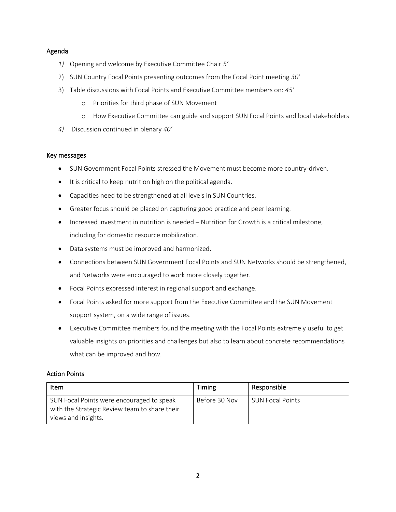#### Agenda

- *1)* Opening and welcome by Executive Committee Chair *5'*
- 2) SUN Country Focal Points presenting outcomes from the Focal Point meeting *30'*
- 3) Table discussions with Focal Points and Executive Committee members on: *45'*
	- o Priorities for third phase of SUN Movement
	- o How Executive Committee can guide and support SUN Focal Points and local stakeholders
- *4)* Discussion continued in plenary *40'*

#### Key messages

- SUN Government Focal Points stressed the Movement must become more country-driven.
- It is critical to keep nutrition high on the political agenda.
- Capacities need to be strengthened at all levels in SUN Countries.
- Greater focus should be placed on capturing good practice and peer learning.
- Increased investment in nutrition is needed Nutrition for Growth is a critical milestone, including for domestic resource mobilization.
- Data systems must be improved and harmonized.
- Connections between SUN Government Focal Points and SUN Networks should be strengthened, and Networks were encouraged to work more closely together.
- Focal Points expressed interest in regional support and exchange.
- Focal Points asked for more support from the Executive Committee and the SUN Movement support system, on a wide range of issues.
- Executive Committee members found the meeting with the Focal Points extremely useful to get valuable insights on priorities and challenges but also to learn about concrete recommendations what can be improved and how.

# Action Points

| Item                                                                                                              | Timing        | Responsible             |
|-------------------------------------------------------------------------------------------------------------------|---------------|-------------------------|
| SUN Focal Points were encouraged to speak<br>with the Strategic Review team to share their<br>views and insights. | Before 30 Nov | <b>SUN Focal Points</b> |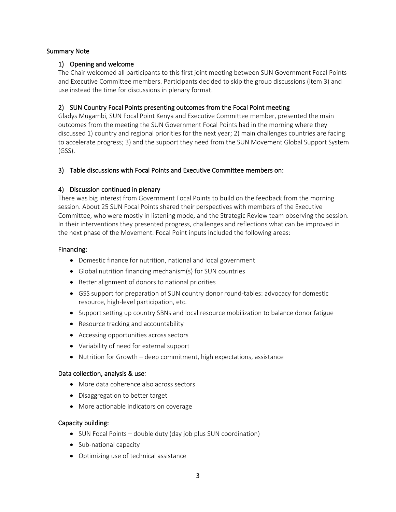# Summary Note

# 1) Opening and welcome

The Chair welcomed all participants to this first joint meeting between SUN Government Focal Points and Executive Committee members. Participants decided to skip the group discussions (item 3) and use instead the time for discussions in plenary format.

# 2) SUN Country Focal Points presenting outcomes from the Focal Point meeting

Gladys Mugambi, SUN Focal Point Kenya and Executive Committee member, presented the main outcomes from the meeting the SUN Government Focal Points had in the morning where they discussed 1) country and regional priorities for the next year; 2) main challenges countries are facing to accelerate progress; 3) and the support they need from the SUN Movement Global Support System (GSS).

# 3) Table discussions with Focal Points and Executive Committee members on:

# 4) Discussion continued in plenary

There was big interest from Government Focal Points to build on the feedback from the morning session. About 25 SUN Focal Points shared their perspectives with members of the Executive Committee, who were mostly in listening mode, and the Strategic Review team observing the session. In their interventions they presented progress, challenges and reflections what can be improved in the next phase of the Movement. Focal Point inputs included the following areas:

#### Financing:

- Domestic finance for nutrition, national and local government
- Global nutrition financing mechanism(s) for SUN countries
- Better alignment of donors to national priorities
- GSS support for preparation of SUN country donor round-tables: advocacy for domestic resource, high-level participation, etc.
- Support setting up country SBNs and local resource mobilization to balance donor fatigue
- Resource tracking and accountability
- Accessing opportunities across sectors
- Variability of need for external support
- Nutrition for Growth deep commitment, high expectations, assistance

#### Data collection, analysis & use:

- More data coherence also across sectors
- Disaggregation to better target
- More actionable indicators on coverage

#### Capacity building:

- SUN Focal Points double duty (day job plus SUN coordination)
- Sub-national capacity
- Optimizing use of technical assistance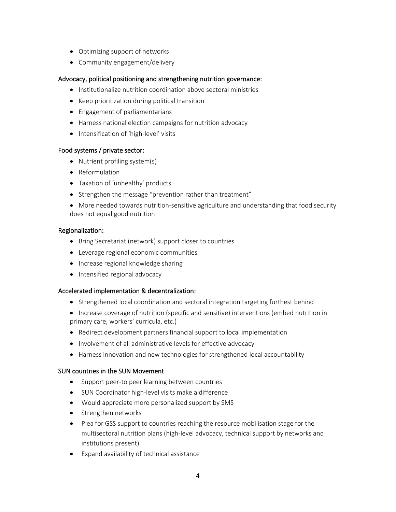- Optimizing support of networks
- Community engagement/delivery

# Advocacy, political positioning and strengthening nutrition governance:

- Institutionalize nutrition coordination above sectoral ministries
- Keep prioritization during political transition
- Engagement of parliamentarians
- Harness national election campaigns for nutrition advocacy
- Intensification of 'high-level' visits

#### Food systems / private sector:

- Nutrient profiling system(s)
- Reformulation
- Taxation of 'unhealthy' products
- Strengthen the message "prevention rather than treatment"
- More needed towards nutrition-sensitive agriculture and understanding that food security does not equal good nutrition

#### Regionalization:

- Bring Secretariat (network) support closer to countries
- Leverage regional economic communities
- Increase regional knowledge sharing
- Intensified regional advocacy

#### Accelerated implementation & decentralization:

- Strengthened local coordination and sectoral integration targeting furthest behind
- Increase coverage of nutrition (specific and sensitive) interventions (embed nutrition in primary care, workers' curricula, etc.)
- Redirect development partners financial support to local implementation
- Involvement of all administrative levels for effective advocacy
- Harness innovation and new technologies for strengthened local accountability

#### SUN countries in the SUN Movement

- Support peer-to peer learning between countries
- SUN Coordinator high-level visits make a difference
- Would appreciate more personalized support by SMS
- Strengthen networks
- Plea for GSS support to countries reaching the resource mobilisation stage for the multisectoral nutrition plans (high-level advocacy, technical support by networks and institutions present)
- Expand availability of technical assistance